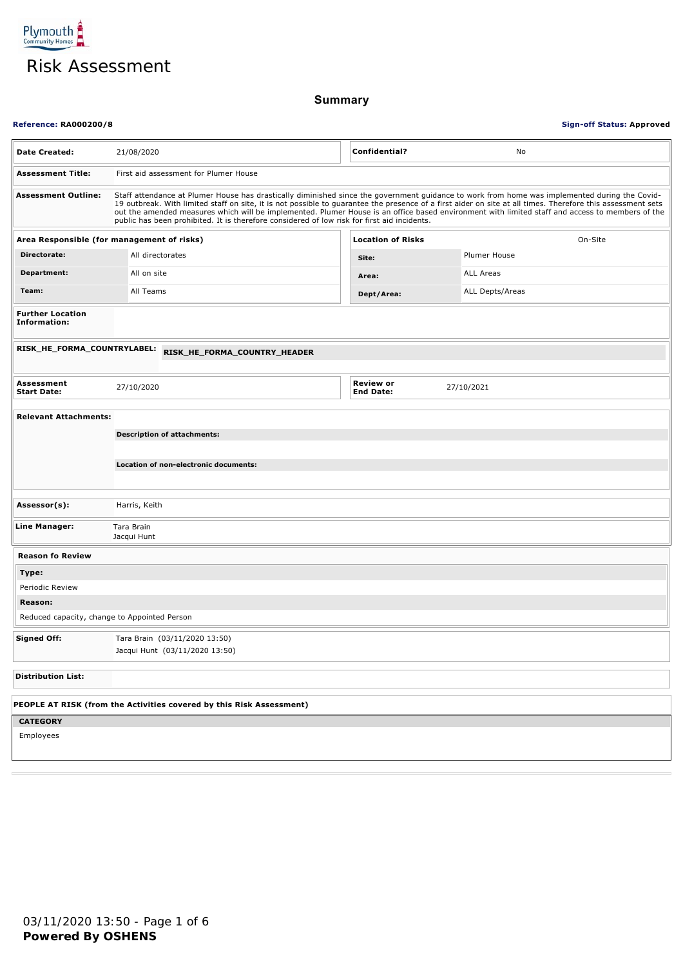

**Summary**

| <b>Reference: RA000200/8</b><br><b>Sign-off Status: Approved</b> |                                                                                                                                                                                                                                                                                                                                                                                                                                                                                                                                                                |                                      |                  |  |
|------------------------------------------------------------------|----------------------------------------------------------------------------------------------------------------------------------------------------------------------------------------------------------------------------------------------------------------------------------------------------------------------------------------------------------------------------------------------------------------------------------------------------------------------------------------------------------------------------------------------------------------|--------------------------------------|------------------|--|
| <b>Date Created:</b>                                             | 21/08/2020                                                                                                                                                                                                                                                                                                                                                                                                                                                                                                                                                     | Confidential?                        | No               |  |
| <b>Assessment Title:</b>                                         | First aid assessment for Plumer House                                                                                                                                                                                                                                                                                                                                                                                                                                                                                                                          |                                      |                  |  |
| <b>Assessment Outline:</b>                                       | Staff attendance at Plumer House has drastically diminished since the government guidance to work from home was implemented during the Covid-<br>19 outbreak. With limited staff on site, it is not possible to guarantee the presence of a first aider on site at all times. Therefore this assessment sets<br>out the amended measures which will be implemented. Plumer House is an office based environment with limited staff and access to members of the<br>public has been prohibited. It is therefore considered of low risk for first aid incidents. |                                      |                  |  |
| Area Responsible (for management of risks)                       |                                                                                                                                                                                                                                                                                                                                                                                                                                                                                                                                                                | <b>Location of Risks</b>             | On-Site          |  |
| Directorate:                                                     | All directorates                                                                                                                                                                                                                                                                                                                                                                                                                                                                                                                                               | Site:                                | Plumer House     |  |
| Department:                                                      | All on site                                                                                                                                                                                                                                                                                                                                                                                                                                                                                                                                                    | Area:                                | <b>ALL Areas</b> |  |
| Team:                                                            | All Teams                                                                                                                                                                                                                                                                                                                                                                                                                                                                                                                                                      | Dept/Area:                           | ALL Depts/Areas  |  |
| <b>Further Location</b><br>Information:                          |                                                                                                                                                                                                                                                                                                                                                                                                                                                                                                                                                                |                                      |                  |  |
| RISK_HE_FORMA_COUNTRYLABEL:                                      | RISK_HE_FORMA_COUNTRY_HEADER                                                                                                                                                                                                                                                                                                                                                                                                                                                                                                                                   |                                      |                  |  |
| Assessment<br><b>Start Date:</b>                                 | 27/10/2020                                                                                                                                                                                                                                                                                                                                                                                                                                                                                                                                                     | <b>Review or</b><br><b>End Date:</b> | 27/10/2021       |  |
| <b>Relevant Attachments:</b>                                     |                                                                                                                                                                                                                                                                                                                                                                                                                                                                                                                                                                |                                      |                  |  |
|                                                                  | <b>Description of attachments:</b>                                                                                                                                                                                                                                                                                                                                                                                                                                                                                                                             |                                      |                  |  |
|                                                                  | Location of non-electronic documents:                                                                                                                                                                                                                                                                                                                                                                                                                                                                                                                          |                                      |                  |  |
|                                                                  |                                                                                                                                                                                                                                                                                                                                                                                                                                                                                                                                                                |                                      |                  |  |
| Assessor(s):                                                     | Harris, Keith                                                                                                                                                                                                                                                                                                                                                                                                                                                                                                                                                  |                                      |                  |  |
| Line Manager:                                                    | Tara Brain<br>Jacqui Hunt                                                                                                                                                                                                                                                                                                                                                                                                                                                                                                                                      |                                      |                  |  |
| <b>Reason fo Review</b>                                          |                                                                                                                                                                                                                                                                                                                                                                                                                                                                                                                                                                |                                      |                  |  |
| Type:                                                            |                                                                                                                                                                                                                                                                                                                                                                                                                                                                                                                                                                |                                      |                  |  |
| Periodic Review                                                  |                                                                                                                                                                                                                                                                                                                                                                                                                                                                                                                                                                |                                      |                  |  |
| Reason:                                                          |                                                                                                                                                                                                                                                                                                                                                                                                                                                                                                                                                                |                                      |                  |  |
| Reduced capacity, change to Appointed Person                     |                                                                                                                                                                                                                                                                                                                                                                                                                                                                                                                                                                |                                      |                  |  |
| <b>Signed Off:</b>                                               | Tara Brain (03/11/2020 13:50)<br>Jacqui Hunt (03/11/2020 13:50)                                                                                                                                                                                                                                                                                                                                                                                                                                                                                                |                                      |                  |  |
| <b>Distribution List:</b>                                        |                                                                                                                                                                                                                                                                                                                                                                                                                                                                                                                                                                |                                      |                  |  |
|                                                                  | PEOPLE AT RISK (from the Activities covered by this Risk Assessment)                                                                                                                                                                                                                                                                                                                                                                                                                                                                                           |                                      |                  |  |
| <b>CATEGORY</b>                                                  |                                                                                                                                                                                                                                                                                                                                                                                                                                                                                                                                                                |                                      |                  |  |
| Employees                                                        |                                                                                                                                                                                                                                                                                                                                                                                                                                                                                                                                                                |                                      |                  |  |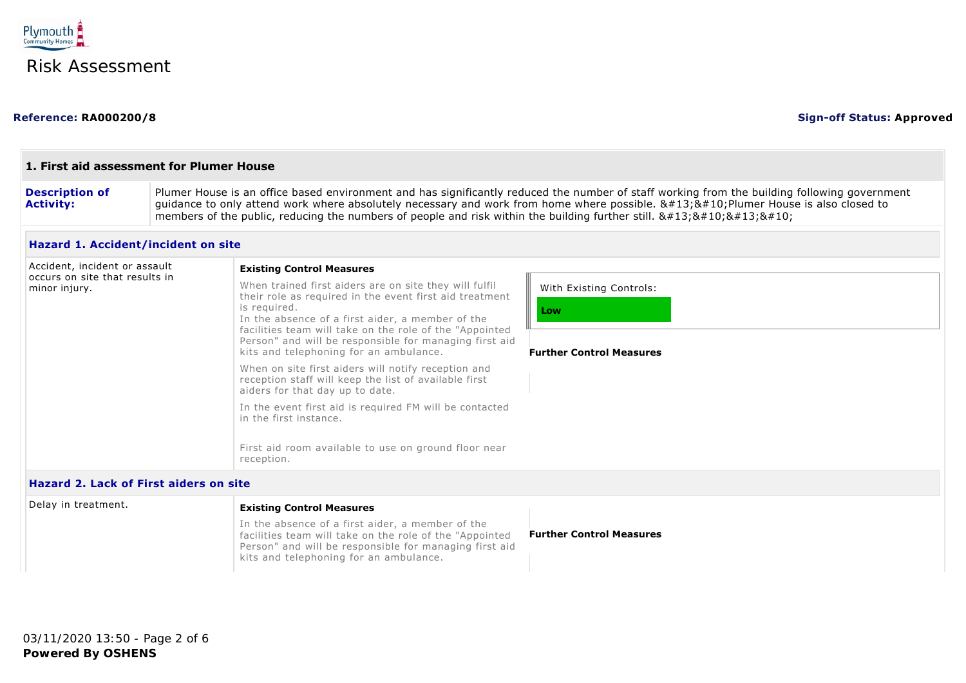

### **Reference: RA000200/8 Sign-off Status: Approved**

| <b>Description of</b><br><b>Activity:</b>                       | Plumer House is an office based environment and has significantly reduced the number of staff working from the building following government<br>guidance to only attend work where absolutely necessary and work from home where possible. $\&\#13;\&\#10;$ Plumer House is also closed to<br>members of the public, reducing the numbers of people and risk within the building further still. $8#13;8#10;8#13;8#10;$ |                                                                   |
|-----------------------------------------------------------------|------------------------------------------------------------------------------------------------------------------------------------------------------------------------------------------------------------------------------------------------------------------------------------------------------------------------------------------------------------------------------------------------------------------------|-------------------------------------------------------------------|
| Hazard 1. Accident/incident on site                             |                                                                                                                                                                                                                                                                                                                                                                                                                        |                                                                   |
| Accident, incident or assault<br>occurs on site that results in | <b>Existing Control Measures</b>                                                                                                                                                                                                                                                                                                                                                                                       |                                                                   |
| minor injury.                                                   | When trained first aiders are on site they will fulfil<br>their role as required in the event first aid treatment<br>is required.<br>In the absence of a first aider, a member of the<br>facilities team will take on the role of the "Appointed<br>Person" and will be responsible for managing first aid<br>kits and telephoning for an ambulance.                                                                   | With Existing Controls:<br>Low<br><b>Further Control Measures</b> |
|                                                                 | When on site first aiders will notify reception and<br>reception staff will keep the list of available first<br>aiders for that day up to date.                                                                                                                                                                                                                                                                        |                                                                   |
|                                                                 | In the event first aid is required FM will be contacted<br>in the first instance.                                                                                                                                                                                                                                                                                                                                      |                                                                   |
|                                                                 | First aid room available to use on ground floor near<br>reception.                                                                                                                                                                                                                                                                                                                                                     |                                                                   |

| Delay in treatment. | <b>Existing Control Measures</b>                                                                                                                                                                                |                                 |
|---------------------|-----------------------------------------------------------------------------------------------------------------------------------------------------------------------------------------------------------------|---------------------------------|
|                     | In the absence of a first aider, a member of the<br>facilities team will take on the role of the "Appointed<br>Person" and will be responsible for managing first aid<br>kits and telephoning for an ambulance. | <b>Further Control Measures</b> |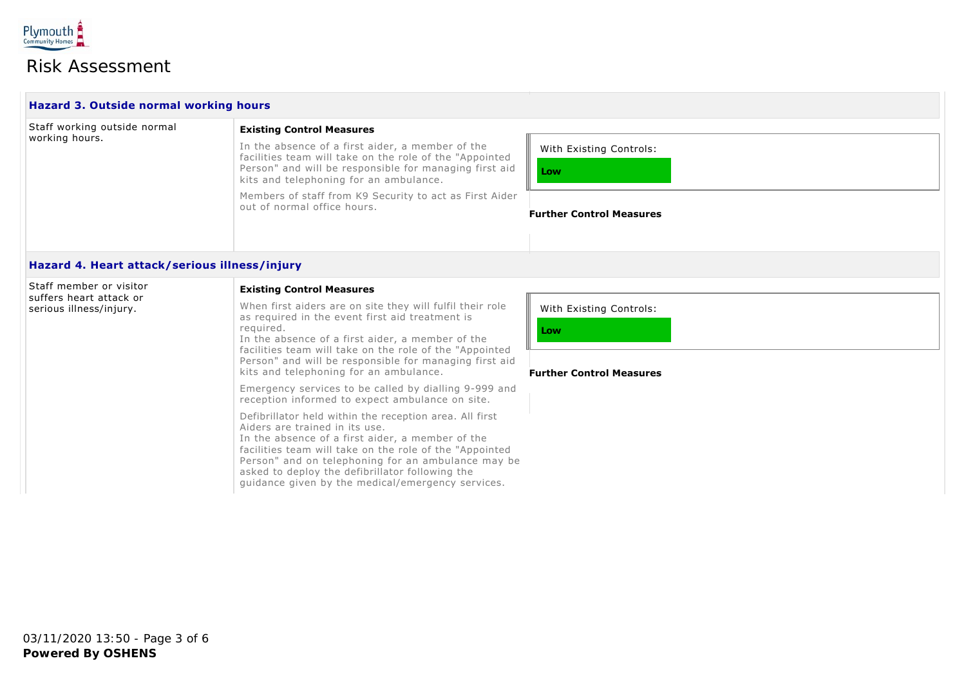

# Risk Assessment

| <b>Hazard 3. Outside normal working hours</b>      |                                                                                                                                                                                                                                                                                                                                                                        |                                                                   |
|----------------------------------------------------|------------------------------------------------------------------------------------------------------------------------------------------------------------------------------------------------------------------------------------------------------------------------------------------------------------------------------------------------------------------------|-------------------------------------------------------------------|
| Staff working outside normal                       | <b>Existing Control Measures</b>                                                                                                                                                                                                                                                                                                                                       |                                                                   |
| working hours.                                     | In the absence of a first aider, a member of the<br>facilities team will take on the role of the "Appointed<br>Person" and will be responsible for managing first aid<br>kits and telephoning for an ambulance.                                                                                                                                                        | With Existing Controls:<br>Low                                    |
|                                                    | Members of staff from K9 Security to act as First Aider<br>out of normal office hours.                                                                                                                                                                                                                                                                                 | <b>Further Control Measures</b>                                   |
| Hazard 4. Heart attack/serious illness/injury      |                                                                                                                                                                                                                                                                                                                                                                        |                                                                   |
| Staff member or visitor<br>suffers heart attack or | <b>Existing Control Measures</b>                                                                                                                                                                                                                                                                                                                                       |                                                                   |
| serious illness/injury.                            | When first aiders are on site they will fulfil their role<br>as required in the event first aid treatment is<br>required.<br>In the absence of a first aider, a member of the<br>facilities team will take on the role of the "Appointed<br>Person" and will be responsible for managing first aid<br>kits and telephoning for an ambulance.                           | With Existing Controls:<br>Low<br><b>Further Control Measures</b> |
|                                                    | Emergency services to be called by dialling 9-999 and<br>reception informed to expect ambulance on site.                                                                                                                                                                                                                                                               |                                                                   |
|                                                    | Defibrillator held within the reception area. All first<br>Aiders are trained in its use.<br>In the absence of a first aider, a member of the<br>facilities team will take on the role of the "Appointed<br>Person" and on telephoning for an ambulance may be<br>asked to deploy the defibrillator following the<br>guidance given by the medical/emergency services. |                                                                   |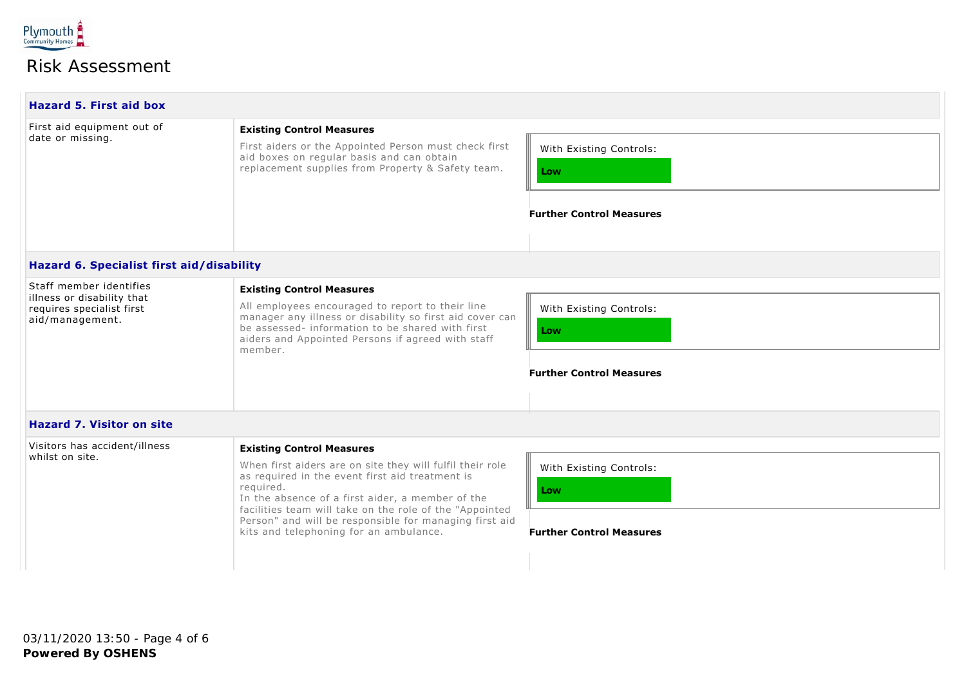

## Risk Assessment

| <b>Hazard 5. First aid box</b>                                             |                                                                                                                                                                                                                       |                                                                   |
|----------------------------------------------------------------------------|-----------------------------------------------------------------------------------------------------------------------------------------------------------------------------------------------------------------------|-------------------------------------------------------------------|
| First aid equipment out of<br>date or missing.                             | <b>Existing Control Measures</b><br>First aiders or the Appointed Person must check first<br>aid boxes on regular basis and can obtain<br>replacement supplies from Property & Safety team.                           | With Existing Controls:<br>Low<br><b>Further Control Measures</b> |
| Hazard 6. Specialist first aid/disability                                  |                                                                                                                                                                                                                       |                                                                   |
| Staff member identifies                                                    | <b>Existing Control Measures</b>                                                                                                                                                                                      |                                                                   |
| illness or disability that<br>requires specialist first<br>aid/management. | All employees encouraged to report to their line<br>manager any illness or disability so first aid cover can<br>be assessed- information to be shared with first<br>aiders and Appointed Persons if agreed with staff | With Existing Controls:<br>Low                                    |

### **Further Control Measures**

### **Hazard 7. Visitor on site**

member.

| Visitors has accident/illness<br>whilst on site. | <b>Existing Control Measures</b><br>When first aiders are on site they will fulfil their role<br>as required in the event first aid treatment is<br>reguired.                                                   | With Existing Controls:                |
|--------------------------------------------------|-----------------------------------------------------------------------------------------------------------------------------------------------------------------------------------------------------------------|----------------------------------------|
|                                                  | In the absence of a first aider, a member of the<br>facilities team will take on the role of the "Appointed<br>Person" and will be responsible for managing first aid<br>kits and telephoning for an ambulance. | Low<br><b>Further Control Measures</b> |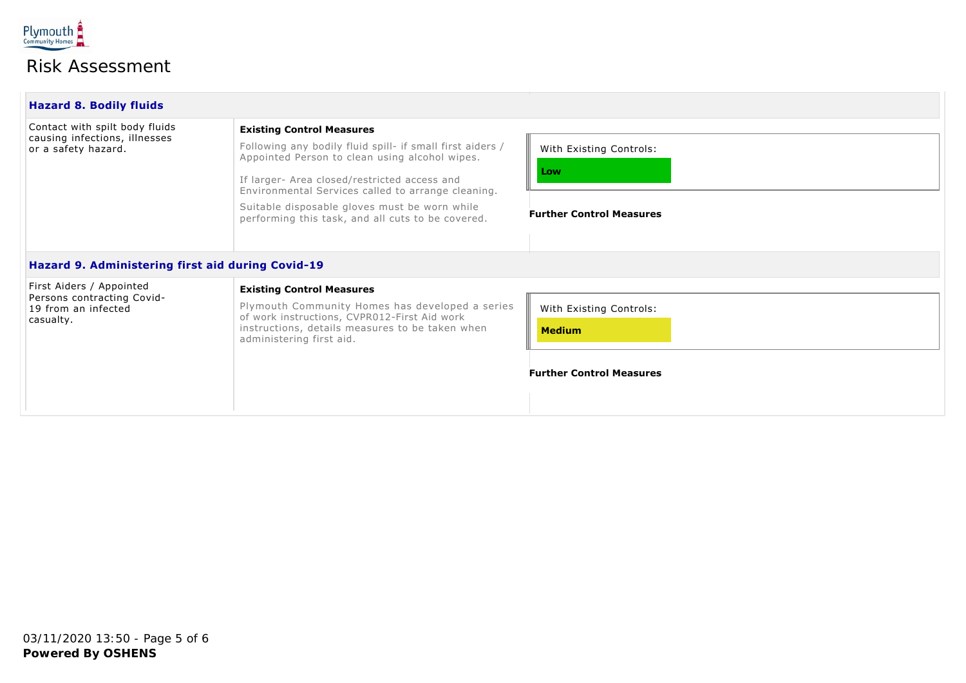

# Risk Assessment

| <b>Hazard 8. Bodily fluids</b>                                 |                                                                                                                                                                                                                   |                                          |  |
|----------------------------------------------------------------|-------------------------------------------------------------------------------------------------------------------------------------------------------------------------------------------------------------------|------------------------------------------|--|
| Contact with spilt body fluids                                 | <b>Existing Control Measures</b>                                                                                                                                                                                  |                                          |  |
| causing infections, illnesses<br>or a safety hazard.           | Following any bodily fluid spill- if small first aiders /<br>Appointed Person to clean using alcohol wipes.<br>If larger- Area closed/restricted access and<br>Environmental Services called to arrange cleaning. | With Existing Controls:<br>Low           |  |
|                                                                | Suitable disposable gloves must be worn while<br>performing this task, and all cuts to be covered.                                                                                                                | <b>Further Control Measures</b>          |  |
| Hazard 9. Administering first aid during Covid-19              |                                                                                                                                                                                                                   |                                          |  |
| First Aiders / Appointed                                       | <b>Existing Control Measures</b>                                                                                                                                                                                  |                                          |  |
| Persons contracting Covid-<br>19 from an infected<br>casualty. | Plymouth Community Homes has developed a series<br>of work instructions, CVPR012-First Aid work<br>instructions, details measures to be taken when<br>administering first aid.                                    | With Existing Controls:<br><b>Medium</b> |  |
|                                                                |                                                                                                                                                                                                                   | <b>Further Control Measures</b>          |  |
|                                                                |                                                                                                                                                                                                                   |                                          |  |